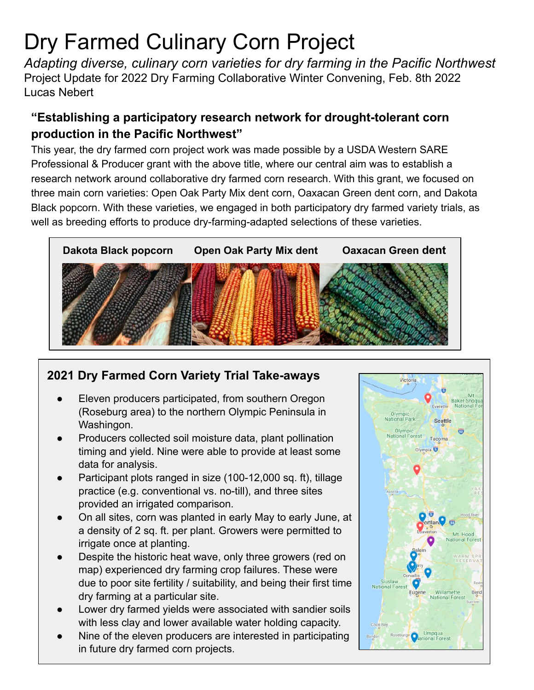# Dry Farmed Culinary Corn Project

*Adapting diverse, culinary corn varieties for dry farming in the Pacific Northwest* Project Update for 2022 Dry Farming Collaborative Winter Convening, Feb. 8th 2022 Lucas Nebert

## **"Establishing a participatory research network for drought-tolerant corn production in the Pacific Northwest"**

This year, the dry farmed corn project work was made possible by a USDA Western SARE Professional & Producer grant with the above title, where our central aim was to establish a research network around collaborative dry farmed corn research. With this grant, we focused on three main corn varieties: Open Oak Party Mix dent corn, Oaxacan Green dent corn, and Dakota Black popcorn. With these varieties, we engaged in both participatory dry farmed variety trials, as well as breeding efforts to produce dry-farming-adapted selections of these varieties.



## **2021 Dry Farmed Corn Variety Trial Take-aways**

- Eleven producers participated, from southern Oregon (Roseburg area) to the northern Olympic Peninsula in Washingon.
- Producers collected soil moisture data, plant pollination timing and yield. Nine were able to provide at least some data for analysis.
- Participant plots ranged in size (100-12,000 sq. ft), tillage practice (e.g. conventional vs. no-till), and three sites provided an irrigated comparison.
- On all sites, corn was planted in early May to early June, at a density of 2 sq. ft. per plant. Growers were permitted to irrigate once at planting.
- Despite the historic heat wave, only three growers (red on map) experienced dry farming crop failures. These were due to poor site fertility / suitability, and being their first time dry farming at a particular site.
- Lower dry farmed yields were associated with sandier soils with less clay and lower available water holding capacity.
- Nine of the eleven producers are interested in participating in future dry farmed corn projects.

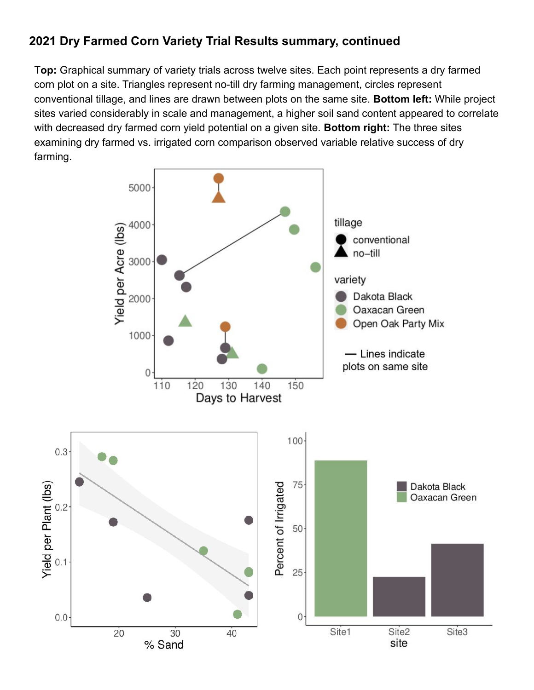## **2021 Dry Farmed Corn Variety Trial Results summary, continued**

T**op:** Graphical summary of variety trials across twelve sites. Each point represents a dry farmed corn plot on a site. Triangles represent no-till dry farming management, circles represent conventional tillage, and lines are drawn between plots on the same site. **Bottom left:** While project sites varied considerably in scale and management, a higher soil sand content appeared to correlate with decreased dry farmed corn yield potential on a given site. **Bottom right:** The three sites examining dry farmed vs. irrigated corn comparison observed variable relative success of dry farming.

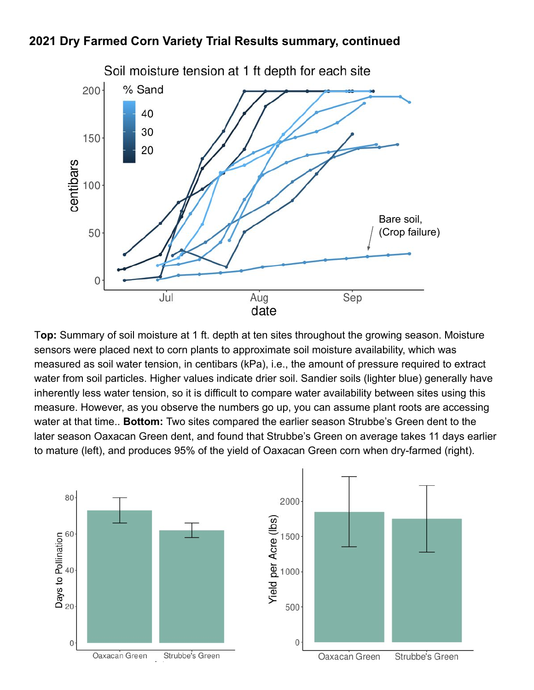### **2021 Dry Farmed Corn Variety Trial Results summary, continued**



T**op:** Summary of soil moisture at 1 ft. depth at ten sites throughout the growing season. Moisture sensors were placed next to corn plants to approximate soil moisture availability, which was measured as soil water tension, in centibars (kPa), i.e., the amount of pressure required to extract water from soil particles. Higher values indicate drier soil. Sandier soils (lighter blue) generally have inherently less water tension, so it is difficult to compare water availability between sites using this measure. However, as you observe the numbers go up, you can assume plant roots are accessing water at that time.. **Bottom:** Two sites compared the earlier season Strubbe's Green dent to the later season Oaxacan Green dent, and found that Strubbe's Green on average takes 11 days earlier to mature (left), and produces 95% of the yield of Oaxacan Green corn when dry-farmed (right).

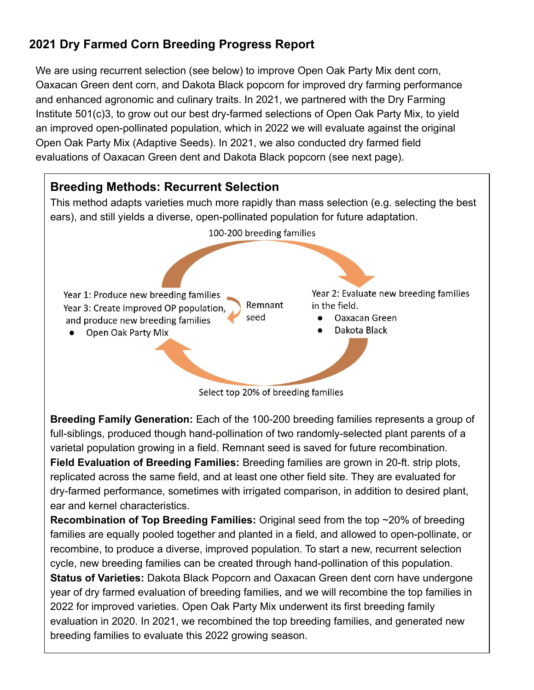# **2021 Dry Farmed Corn Breeding Progress Report**

We are using recurrent selection (see below) to improve Open Oak Party Mix dent corn, Oaxacan Green dent corn, and Dakota Black popcorn for improved dry farming performance and enhanced agronomic and culinary traits. In 2021, we partnered with the Dry Farming Institute 501(c)3, to grow out our best dry-farmed selections of Open Oak Party Mix, to yield an improved open-pollinated population, which in 2022 we will evaluate against the original Open Oak Party Mix (Adaptive Seeds). In 2021, we also conducted dry farmed field evaluations of Oaxacan Green dent and Dakota Black popcorn (see next page).



**Breeding Family Generation:** Each of the 100-200 breeding families represents a group of full-siblings, produced though hand-pollination of two randomly-selected plant parents of a varietal population growing in a field. Remnant seed is saved for future recombination. **Field Evaluation of Breeding Families:** Breeding families are grown in 20-ft. strip plots, replicated across the same field, and at least one other field site. They are evaluated for dry-farmed performance, sometimes with irrigated comparison, in addition to desired plant, ear and kernel characteristics.

**Recombination of Top Breeding Families:** Original seed from the top ~20% of breeding families are equally pooled together and planted in a field, and allowed to open-pollinate, or recombine, to produce a diverse, improved population. To start a new, recurrent selection cycle, new breeding families can be created through hand-pollination of this population. **Status of Varieties:** Dakota Black Popcorn and Oaxacan Green dent corn have undergone year of dry farmed evaluation of breeding families, and we will recombine the top families in 2022 for improved varieties. Open Oak Party Mix underwent its first breeding family evaluation in 2020. In 2021, we recombined the top breeding families, and generated new breeding families to evaluate this 2022 growing season.